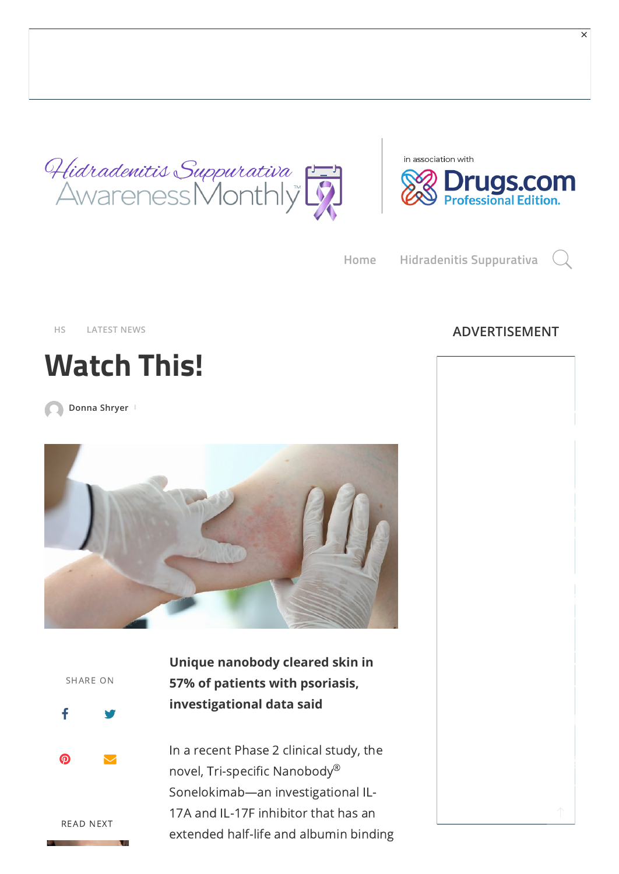



[×](https://adclick.g.doubleclick.net/pcs/click?xai=AKAOjsvtE1pfdjUTg45ytxHn4X0jOXBX5rg9tSXOF16XZzqOvlQ3keXqHbOeG7o6BfRyALtoKhRYCVqt16FL9LQ2HU-iTqqC3jQeG2Fr3230B5VMxojS-nne9TgFZF6uieBbXV8xxTIqJZpmjcpZUxGcYVTBxzeoIygGqnAiTpOLmVumthpAHVtYxopCjuIprRBiK2lXuaWAsAhn6XAn-8rTXt34aIT1Fo6HM1ZrAHURTASrvdm6Mi7iiIL6CXUF8QBdpNC2bZauMaBlQyKJEGsWk2zWyqW2Gnx-eKoXoCCu8beyf6PO3kVZGRWSkA94yWRmcdWaX2EcN9Bo&sai=AMfl-YRoQNmAYEjG9jADBxf-OH9gT9Ccs6iemthmWm1VydKapQzbqkQWdO9MyZadTVQGqoqsXrPre2UqxQU0i2GxqwERfxKWMS9_iwr0E4tyhs4pKWJ5TJjC8md2lheyd_gjxBARzQ&sig=Cg0ArKJSzMDPBeKDRhX0EAE&fbs_aeid=[gw_fbsaeid]&urlfix=1&adurl=http://ehsx.io/)

**[Home](https://hs.awarenessmonthly.com/) [Hidradenitis](https://hs.awarenessmonthly.com/category/hs/) Suppurativa**

# **Watch This!**

**[Donna](https://hs.awarenessmonthly.com/author/donna_ehs/) Shryer**





READ NEXT

**Unique nanobody cleared skin in 57% of patients with psoriasis, investigational data said**

In a recent Phase 2 clinical study, the novel, Tri-specific Nanobody $^{\circledR}$ Sonelokimab—an investigational IL-17A and IL-17F inhibitor that has an extended half-life and albumin binding

## **[HS](https://hs.awarenessmonthly.com/category/hs/) [LATEST](https://hs.awarenessmonthly.com/category/latest-news/) NEWS ADVERTISEMENT**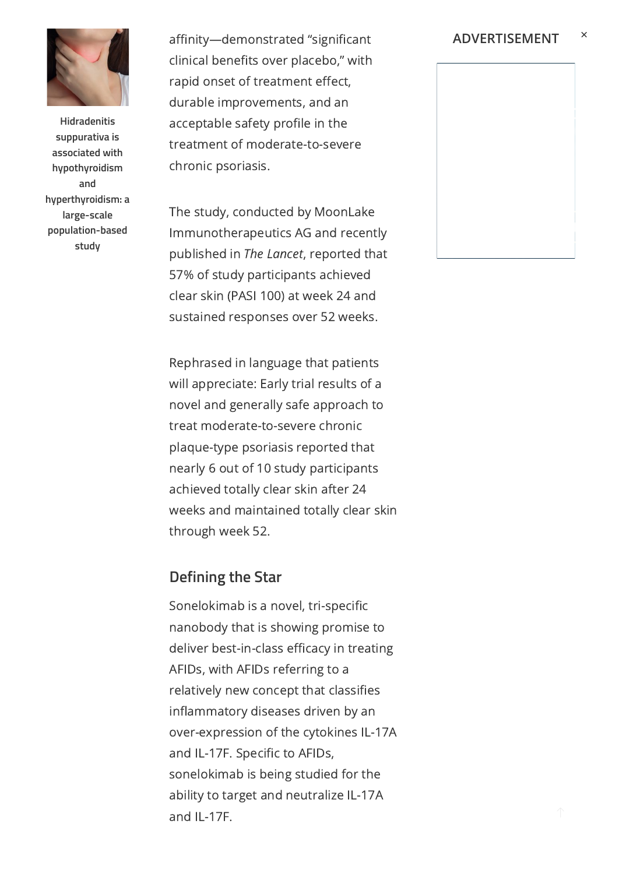

**Hidradenitis suppurativa is associated with hypothyroidism and [hyperthyroidism: a](https://hs.awarenessmonthly.com/hidradenitis-suppurativa-is-associated-with-hypothyroidism-and-hyperthyroidism-a-large-scale-population-based-study/) large-scale population-based study**

affinity—demonstrated "significant clinical benefits over placebo," with rapid onset of treatment effect, durable improvements, and an acceptable safety profile in the treatment of moderate-to-severe chronic psoriasis.

The study, conducted by MoonLake Immunotherapeutics AG and recently published in The Lancet, reported that 57% of study participants achieved clear skin (PASI 100) at week 24 and sustained responses over 52 weeks.

Rephrased in language that patients will appreciate: Early trial results of a novel and generally safe approach to treat moderate-to-severe chronic plaque-type psoriasis reported that nearly 6 out of 10 study participants achieved totally clear skin after 24 weeks and maintained totally clear skin through week 52.

#### **Defining the Star**

Sonelokimab is a novel, tri-specific nanobody that is showing promise to deliver best-in-class efficacy in treating AFIDs, with AFIDs referring to a relatively new concept that classifies inflammatory diseases driven by an over-expression of the cytokines IL-17A and IL-17F. Specific to AFIDs, sonelokimab is being studied for the ability to target and neutralize IL-17A and IL-17F.

×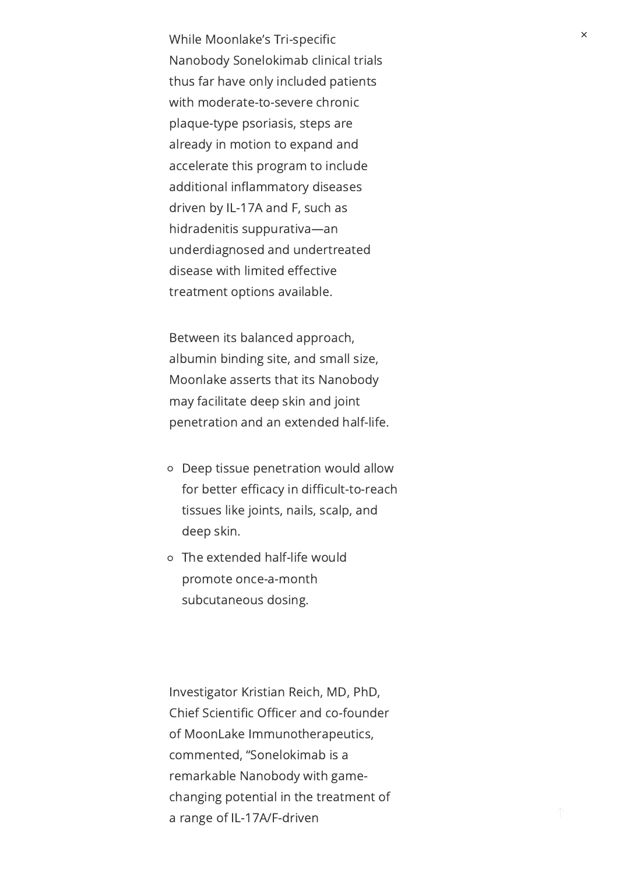While Moonlake's Tri-specific Nanobody Sonelokimab clinical trials thus far have only included patients with moderate-to-severe chronic plaque-type psoriasis, steps are already in motion to expand and accelerate this program to include additional inflammatory diseases driven by IL-17A and F, such as hidradenitis suppurativa—an underdiagnosed and undertreated disease with limited effective treatment options available.

Between its balanced approach, albumin binding site, and small size, Moonlake asserts that its Nanobody may facilitate deep skin and joint penetration and an extended half-life.

- Deep tissue penetration would allow for better efficacy in difficult-to-reach tissues like joints, nails, scalp, and deep skin.
- The extended half-life would promote once-a-month subcutaneous dosing.

Investigator Kristian Reich, MD, PhD, Chief Scientific Officer and co-founder of MoonLake Immunotherapeutics, commented, "Sonelokimab is a remarkable Nanobody with gamechanging potential in the treatment of a range of IL-17A/F-driven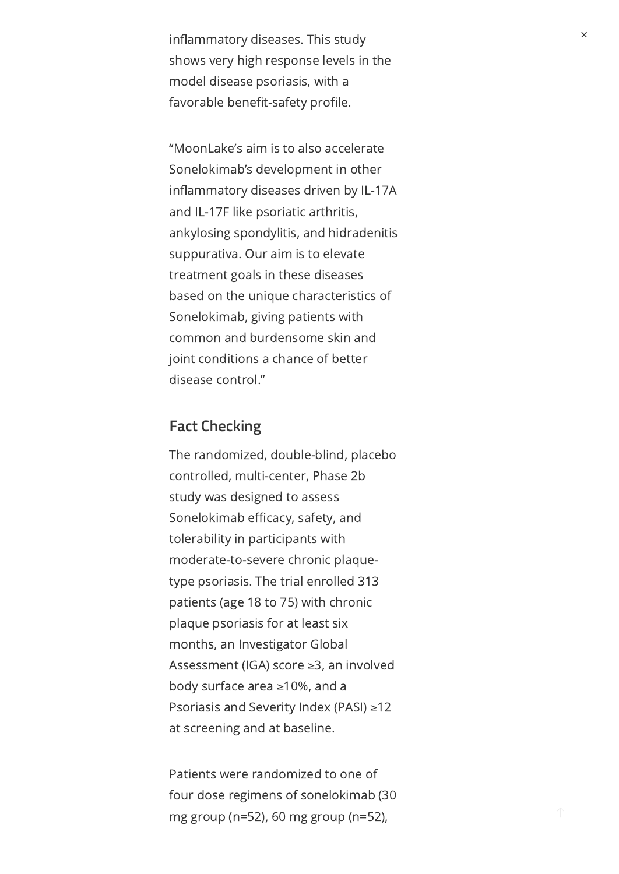inflammatory diseases. This study shows very high response levels in the model disease psoriasis, with a favorable benefit-safety profile.

"MoonLake's aim is to also accelerate Sonelokimab's development in other inflammatory diseases driven by IL-17A and IL-17F like psoriatic arthritis, ankylosing spondylitis, and hidradenitis suppurativa. Our aim is to elevate treatment goals in these diseases based on the unique characteristics of Sonelokimab, giving patients with common and burdensome skin and joint conditions a chance of better disease control."

### **Fact Checking**

The randomized, double-blind, placebo controlled, multi-center, Phase 2b study was designed to assess Sonelokimab efficacy, safety, and tolerability in participants with moderate-to-severe chronic plaquetype psoriasis. The trial enrolled 313 patients (age 18 to 75) with chronic plaque psoriasis for at least six months, an Investigator Global Assessment (IGA) score ≥3, an involved body surface area ≥10%, and a Psoriasis and Severity Index (PASI) ≥12 at screening and at baseline.

Patients were randomized to one of four dose regimens of sonelokimab (30 mg group (n=52), 60 mg group (n=52),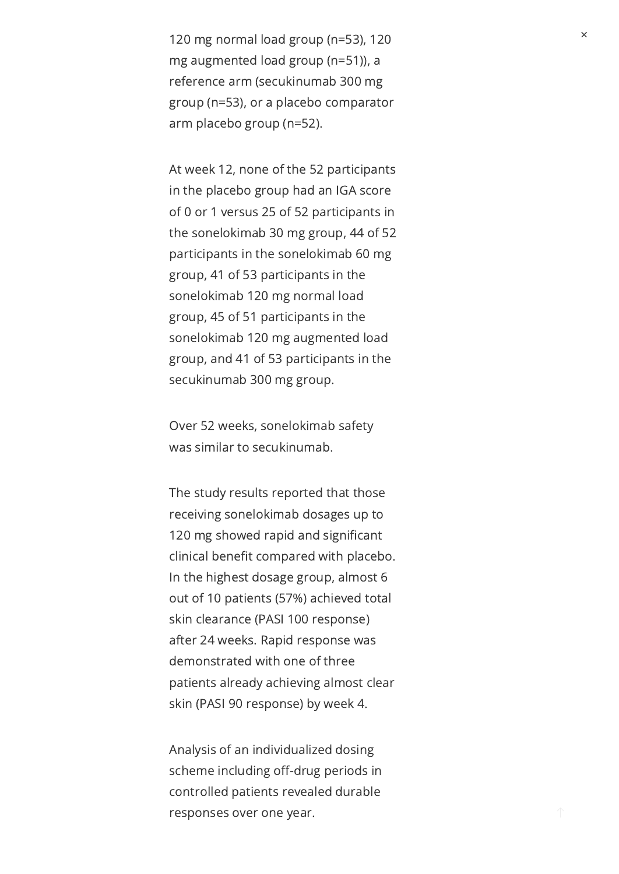120 mg normal load group (n=53), 120 mg augmented load group (n=51)), a reference arm (secukinumab 300 mg group (n=53), or a placebo comparator arm placebo group (n=52).

At week 12, none of the 52 participants in the placebo group had an IGA score of 0 or 1 versus 25 of 52 participants in the sonelokimab 30 mg group, 44 of 52 participants in the sonelokimab 60 mg group, 41 of 53 participants in the sonelokimab 120 mg normal load group, 45 of 51 participants in the sonelokimab 120 mg augmented load group, and 41 of 53 participants in the secukinumab 300 mg group.

Over 52 weeks, sonelokimab safety was similar to secukinumab.

The study results reported that those receiving sonelokimab dosages up to 120 mg showed rapid and significant clinical benefit compared with placebo. In the highest dosage group, almost 6 out of 10 patients (57%) achieved total skin clearance (PASI 100 response) after 24 weeks. Rapid response was demonstrated with one of three patients already achieving almost clear skin (PASI 90 response) by week 4.

Analysis of an individualized dosing scheme including off-drug periods in controlled patients revealed durable responses over one year.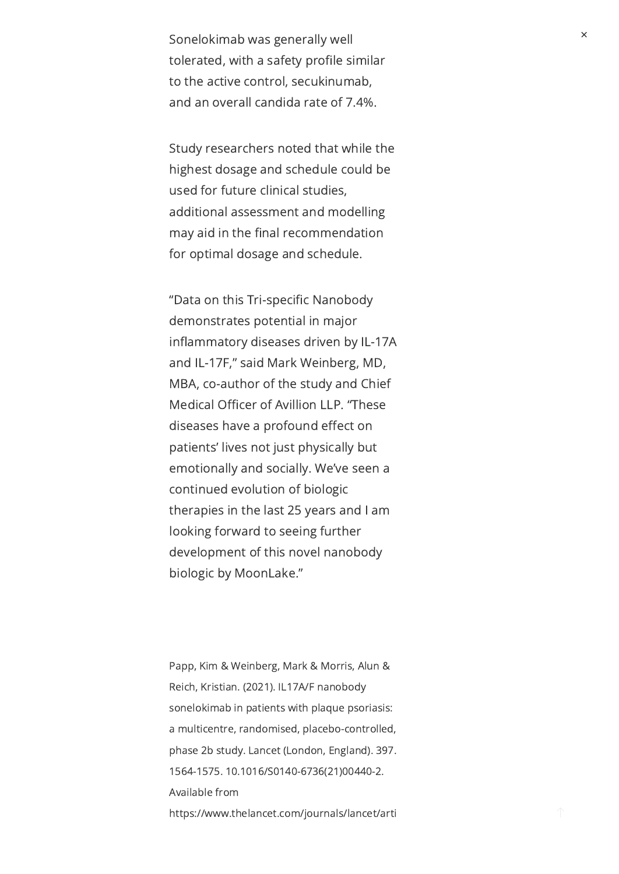Sonelokimab was generally well tolerated, with a safety profile similar to the active control, secukinumab, and an overall candida rate of 7.4%.

Study researchers noted that while the highest dosage and schedule could be used for future clinical studies, additional assessment and modelling may aid in the final recommendation for optimal dosage and schedule.

"Data on this Tri-specific Nanobody demonstrates potential in major inflammatory diseases driven by IL-17A and IL-17F," said Mark Weinberg, MD, MBA, co-author of the study and Chief Medical Officer of Avillion LLP. "These diseases have a profound effect on patients' lives not just physically but emotionally and socially. We've seen a continued evolution of biologic therapies in the last 25 years and I am looking forward to seeing further development of this novel nanobody biologic by MoonLake."

Papp, Kim & Weinberg, Mark & Morris, Alun & Reich, Kristian. (2021). IL17A/F nanobody sonelokimab in patients with plaque psoriasis: a multicentre, randomised, placebo-controlled, phase 2b study. Lancet (London, England). 397. 1564-1575. 10.1016/S0140-6736(21)00440-2. Available from https://www.thelancet.com/journals/lancet/arti